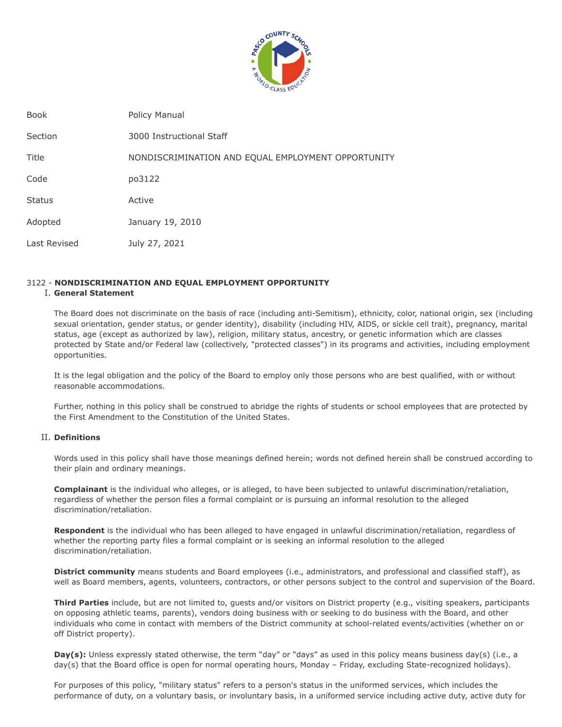

| <b>Book</b>   | Policy Manual                                      |
|---------------|----------------------------------------------------|
| Section       | 3000 Instructional Staff                           |
| Title         | NONDISCRIMINATION AND EQUAL EMPLOYMENT OPPORTUNITY |
| Code          | po3122                                             |
| <b>Status</b> | Active                                             |
| Adopted       | January 19, 2010                                   |
| Last Revised  | July 27, 2021                                      |

# 3122 - **NONDISCRIMINATION AND EQUAL EMPLOYMENT OPPORTUNITY**

# I. **General Statement**

The Board does not discriminate on the basis of race (including anti-Semitism), ethnicity, color, national origin, sex (including sexual orientation, gender status, or gender identity), disability (including HIV, AIDS, or sickle cell trait), pregnancy, marital status, age (except as authorized by law), religion, military status, ancestry, or genetic information which are classes protected by State and/or Federal law (collectively, "protected classes") in its programs and activities, including employment opportunities.

It is the legal obligation and the policy of the Board to employ only those persons who are best qualified, with or without reasonable accommodations.

Further, nothing in this policy shall be construed to abridge the rights of students or school employees that are protected by the First Amendment to the Constitution of the United States.

# II. **Definitions**

Words used in this policy shall have those meanings defined herein; words not defined herein shall be construed according to their plain and ordinary meanings.

**Complainant** is the individual who alleges, or is alleged, to have been subjected to unlawful discrimination/retaliation, regardless of whether the person files a formal complaint or is pursuing an informal resolution to the alleged discrimination/retaliation.

**Respondent** is the individual who has been alleged to have engaged in unlawful discrimination/retaliation, regardless of whether the reporting party files a formal complaint or is seeking an informal resolution to the alleged discrimination/retaliation.

**District community** means students and Board employees (i.e., administrators, and professional and classified staff), as well as Board members, agents, volunteers, contractors, or other persons subject to the control and supervision of the Board.

**Third Parties** include, but are not limited to, guests and/or visitors on District property (e.g., visiting speakers, participants on opposing athletic teams, parents), vendors doing business with or seeking to do business with the Board, and other individuals who come in contact with members of the District community at school-related events/activities (whether on or off District property).

**Day(s):** Unless expressly stated otherwise, the term "day" or "days" as used in this policy means business day(s) (i.e., a day(s) that the Board office is open for normal operating hours, Monday – Friday, excluding State-recognized holidays).

For purposes of this policy, "military status" refers to a person's status in the uniformed services, which includes the performance of duty, on a voluntary basis, or involuntary basis, in a uniformed service including active duty, active duty for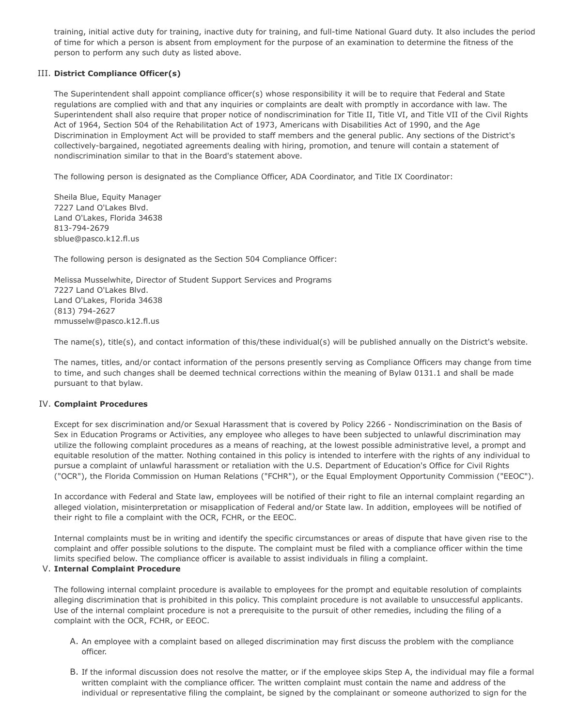training, initial active duty for training, inactive duty for training, and full-time National Guard duty. It also includes the period of time for which a person is absent from employment for the purpose of an examination to determine the fitness of the person to perform any such duty as listed above.

# III. **District Compliance Officer(s)**

The Superintendent shall appoint compliance officer(s) whose responsibility it will be to require that Federal and State regulations are complied with and that any inquiries or complaints are dealt with promptly in accordance with law. The Superintendent shall also require that proper notice of nondiscrimination for Title II, Title VI, and Title VII of the Civil Rights Act of 1964, Section 504 of the Rehabilitation Act of 1973, Americans with Disabilities Act of 1990, and the Age Discrimination in Employment Act will be provided to staff members and the general public. Any sections of the District's collectively-bargained, negotiated agreements dealing with hiring, promotion, and tenure will contain a statement of nondiscrimination similar to that in the Board's statement above.

The following person is designated as the Compliance Officer, ADA Coordinator, and Title IX Coordinator:

Sheila Blue, Equity Manager 7227 Land O'Lakes Blvd. Land O'Lakes, Florida 34638 813-794-2679 sblue@pasco.k12.fl.us

The following person is designated as the Section 504 Compliance Officer:

Melissa Musselwhite, Director of Student Support Services and Programs 7227 Land O'Lakes Blvd. Land O'Lakes, Florida 34638 (813) 794-2627 mmusselw@pasco.k12.fl.us

The name(s), title(s), and contact information of this/these individual(s) will be published annually on the District's website.

The names, titles, and/or contact information of the persons presently serving as Compliance Officers may change from time to time, and such changes shall be deemed technical corrections within the meaning of Bylaw 0131.1 and shall be made pursuant to that bylaw.

# IV. **Complaint Procedures**

Except for sex discrimination and/or Sexual Harassment that is covered by Policy 2266 - Nondiscrimination on the Basis of Sex in Education Programs or Activities, any employee who alleges to have been subjected to unlawful discrimination may utilize the following complaint procedures as a means of reaching, at the lowest possible administrative level, a prompt and equitable resolution of the matter. Nothing contained in this policy is intended to interfere with the rights of any individual to pursue a complaint of unlawful harassment or retaliation with the U.S. Department of Education's Office for Civil Rights ("OCR"), the Florida Commission on Human Relations ("FCHR"), or the Equal Employment Opportunity Commission ("EEOC").

In accordance with Federal and State law, employees will be notified of their right to file an internal complaint regarding an alleged violation, misinterpretation or misapplication of Federal and/or State law. In addition, employees will be notified of their right to file a complaint with the OCR, FCHR, or the EEOC.

Internal complaints must be in writing and identify the specific circumstances or areas of dispute that have given rise to the complaint and offer possible solutions to the dispute. The complaint must be filed with a compliance officer within the time limits specified below. The compliance officer is available to assist individuals in filing a complaint.

# V. **Internal Complaint Procedure**

The following internal complaint procedure is available to employees for the prompt and equitable resolution of complaints alleging discrimination that is prohibited in this policy. This complaint procedure is not available to unsuccessful applicants. Use of the internal complaint procedure is not a prerequisite to the pursuit of other remedies, including the filing of a complaint with the OCR, FCHR, or EEOC.

- A. An employee with a complaint based on alleged discrimination may first discuss the problem with the compliance officer.
- B. If the informal discussion does not resolve the matter, or if the employee skips Step A, the individual may file a formal written complaint with the compliance officer. The written complaint must contain the name and address of the individual or representative filing the complaint, be signed by the complainant or someone authorized to sign for the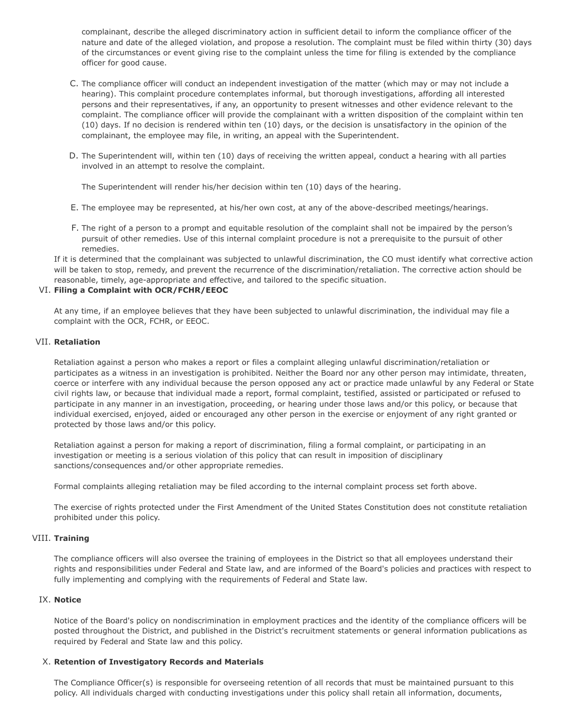complainant, describe the alleged discriminatory action in sufficient detail to inform the compliance officer of the nature and date of the alleged violation, and propose a resolution. The complaint must be filed within thirty (30) days of the circumstances or event giving rise to the complaint unless the time for filing is extended by the compliance officer for good cause.

- C. The compliance officer will conduct an independent investigation of the matter (which may or may not include a hearing). This complaint procedure contemplates informal, but thorough investigations, affording all interested persons and their representatives, if any, an opportunity to present witnesses and other evidence relevant to the complaint. The compliance officer will provide the complainant with a written disposition of the complaint within ten (10) days. If no decision is rendered within ten (10) days, or the decision is unsatisfactory in the opinion of the complainant, the employee may file, in writing, an appeal with the Superintendent.
- D. The Superintendent will, within ten (10) days of receiving the written appeal, conduct a hearing with all parties involved in an attempt to resolve the complaint.

The Superintendent will render his/her decision within ten (10) days of the hearing.

- E. The employee may be represented, at his/her own cost, at any of the above-described meetings/hearings.
- F. The right of a person to a prompt and equitable resolution of the complaint shall not be impaired by the person's pursuit of other remedies. Use of this internal complaint procedure is not a prerequisite to the pursuit of other remedies.

If it is determined that the complainant was subjected to unlawful discrimination, the CO must identify what corrective action will be taken to stop, remedy, and prevent the recurrence of the discrimination/retaliation. The corrective action should be reasonable, timely, age-appropriate and effective, and tailored to the specific situation.

# VI. **Filing a Complaint with OCR/FCHR/EEOC**

At any time, if an employee believes that they have been subjected to unlawful discrimination, the individual may file a complaint with the OCR, FCHR, or EEOC.

### VII. **Retaliation**

Retaliation against a person who makes a report or files a complaint alleging unlawful discrimination/retaliation or participates as a witness in an investigation is prohibited. Neither the Board nor any other person may intimidate, threaten, coerce or interfere with any individual because the person opposed any act or practice made unlawful by any Federal or State civil rights law, or because that individual made a report, formal complaint, testified, assisted or participated or refused to participate in any manner in an investigation, proceeding, or hearing under those laws and/or this policy, or because that individual exercised, enjoyed, aided or encouraged any other person in the exercise or enjoyment of any right granted or protected by those laws and/or this policy.

Retaliation against a person for making a report of discrimination, filing a formal complaint, or participating in an investigation or meeting is a serious violation of this policy that can result in imposition of disciplinary sanctions/consequences and/or other appropriate remedies.

Formal complaints alleging retaliation may be filed according to the internal complaint process set forth above.

The exercise of rights protected under the First Amendment of the United States Constitution does not constitute retaliation prohibited under this policy.

# VIII. **Training**

The compliance officers will also oversee the training of employees in the District so that all employees understand their rights and responsibilities under Federal and State law, and are informed of the Board's policies and practices with respect to fully implementing and complying with the requirements of Federal and State law.

#### IX. **Notice**

Notice of the Board's policy on nondiscrimination in employment practices and the identity of the compliance officers will be posted throughout the District, and published in the District's recruitment statements or general information publications as required by Federal and State law and this policy.

#### X. **Retention of Investigatory Records and Materials**

The Compliance Officer(s) is responsible for overseeing retention of all records that must be maintained pursuant to this policy. All individuals charged with conducting investigations under this policy shall retain all information, documents,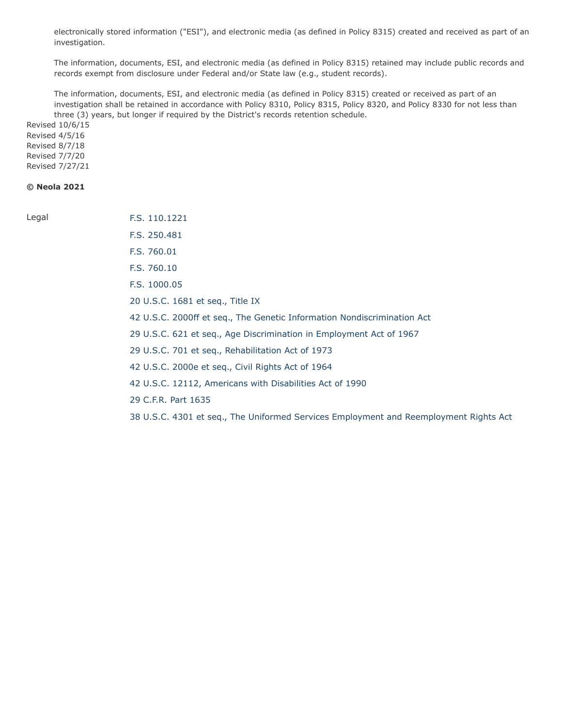electronically stored information ("ESI"), and electronic media (as defined in Policy 8315) created and received as part of an investigation.

The information, documents, ESI, and electronic media (as defined in Policy 8315) retained may include public records and records exempt from disclosure under Federal and/or State law (e.g., student records).

The information, documents, ESI, and electronic media (as defined in Policy 8315) created or received as part of an investigation shall be retained in accordance with Policy 8310, Policy 8315, Policy 8320, and Policy 8330 for not less than three (3) years, but longer if required by the District's records retention schedule.

Revised 10/6/15 Revised 4/5/16 Revised 8/7/18 Revised 7/7/20 Revised 7/27/21

# **© Neola 2021**

Legal **[F.S. 110.1221](http://www.leg.state.fl.us/STATUTES/index.cfm?App_mode=Display_Statute&Search_String=&URL=0100-0199/0110/Sections/0110.1221.html)** 

- [F.S. 250.481](http://www.leg.state.fl.us/STATUTES/index.cfm?App_mode=Display_Statute&Search_String=&URL=0200-0299/0250/Sections/0250.481.html)
- [F.S. 760.01](http://www.leg.state.fl.us/STATUTES/index.cfm?App_mode=Display_Statute&Search_String=&URL=0700-0799/0760/Sections/0760.01.html)
- [F.S. 760.10](http://www.leg.state.fl.us/STATUTES/index.cfm?App_mode=Display_Statute&Search_String=&URL=0700-0799/0760/Sections/0760.10.html)
- [F.S. 1000.05](http://www.leg.state.fl.us/STATUTES/index.cfm?App_mode=Display_Statute&Search_String=&URL=1000-1099/1000/Sections/1000.05.html)
- [20 U.S.C. 1681 et seq., Title IX](http://uscode.house.gov/view.xhtml?req=(title:20%20section:1681%20edition:prelim)%20OR%20(granuleid:USC-prelim-title20-section1681)&f=treesort&edition=prelim&num=0&jumpTo=true)
- [42 U.S.C. 2000ff et seq., The Genetic Information Nondiscrimination Act](http://uscode.house.gov/view.xhtml?req=(title:42%20section:2000ff%20edition:prelim)%20OR%20(granuleid:USC-prelim-title42-section2000ff)&f=treesort&edition=prelim&num=0&jumpTo=true)

[29 U.S.C. 621 et seq., Age Discrimination in Employment Act of 1967](http://uscode.house.gov/view.xhtml?req=(title:29%20section:621%20edition:prelim)%20OR%20(granuleid:USC-prelim-title29-section621)&f=treesort&edition=prelim&num=0&jumpTo=true)

- [29 U.S.C. 701 et seq., Rehabilitation Act of 1973](http://uscode.house.gov/view.xhtml?req=(title:29%20section:701%20edition:prelim)%20OR%20(granuleid:USC-prelim-title29-section701)&f=treesort&edition=prelim&num=0&jumpTo=true)
- [42 U.S.C. 2000e et seq., Civil Rights Act of 1964](http://uscode.house.gov/view.xhtml?req=(title:42%20section:2000e%20edition:prelim)%20OR%20(granuleid:USC-prelim-title42-section2000e)&f=treesort&edition=prelim&num=0&jumpTo=true)
- [42 U.S.C. 12112, Americans with Disabilities Act of 1990](http://uscode.house.gov/view.xhtml?req=(title:42%20section:12112%20edition:prelim)%20OR%20(granuleid:USC-prelim-title42-section12112)&f=treesort&edition=prelim&num=0&jumpTo=true)
- [29 C.F.R. Part 1635](http://www.ecfr.gov/cgi-bin/text-idx?SID=a69e5285f0f0318a97d092a909b36a15&mc=true&node=pt29.4.1635&rgn=div5)
- [38 U.S.C. 4301 et seq., The Uniformed Services Employment and Reemployment Rights Act](http://uscode.house.gov/view.xhtml?req=(title:38%20section:4301%20edition:prelim)%20OR%20(granuleid:USC-prelim-title38-section4301)&f=treesort&edition=prelim&num=0&jumpTo=true)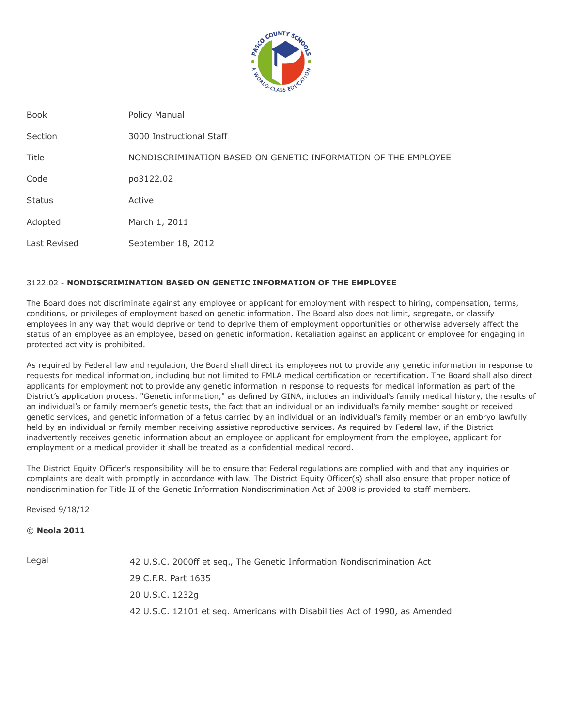

| <b>Book</b>   | Policy Manual                                                  |
|---------------|----------------------------------------------------------------|
| Section       | 3000 Instructional Staff                                       |
| Title         | NONDISCRIMINATION BASED ON GENETIC INFORMATION OF THE EMPLOYEE |
| Code          | po3122.02                                                      |
| <b>Status</b> | Active                                                         |
| Adopted       | March 1, 2011                                                  |
| Last Revised  | September 18, 2012                                             |

# 3122.02 - **NONDISCRIMINATION BASED ON GENETIC INFORMATION OF THE EMPLOYEE**

The Board does not discriminate against any employee or applicant for employment with respect to hiring, compensation, terms, conditions, or privileges of employment based on genetic information. The Board also does not limit, segregate, or classify employees in any way that would deprive or tend to deprive them of employment opportunities or otherwise adversely affect the status of an employee as an employee, based on genetic information. Retaliation against an applicant or employee for engaging in protected activity is prohibited.

As required by Federal law and regulation, the Board shall direct its employees not to provide any genetic information in response to requests for medical information, including but not limited to FMLA medical certification or recertification. The Board shall also direct applicants for employment not to provide any genetic information in response to requests for medical information as part of the District's application process. "Genetic information," as defined by GINA, includes an individual's family medical history, the results of an individual's or family member's genetic tests, the fact that an individual or an individual's family member sought or received genetic services, and genetic information of a fetus carried by an individual or an individual's family member or an embryo lawfully held by an individual or family member receiving assistive reproductive services. As required by Federal law, if the District inadvertently receives genetic information about an employee or applicant for employment from the employee, applicant for employment or a medical provider it shall be treated as a confidential medical record.

The District Equity Officer's responsibility will be to ensure that Federal regulations are complied with and that any inquiries or complaints are dealt with promptly in accordance with law. The District Equity Officer(s) shall also ensure that proper notice of nondiscrimination for Title II of the Genetic Information Nondiscrimination Act of 2008 is provided to staff members.

Revised 9/18/12

© **Neola 2011**

Legal 42 U.S.C. 2000ff et seq., The Genetic Information Nondiscrimination Act 29 C.F.R. Part 1635 20 U.S.C. 1232g 42 U.S.C. 12101 et seq. Americans with Disabilities Act of 1990, as Amended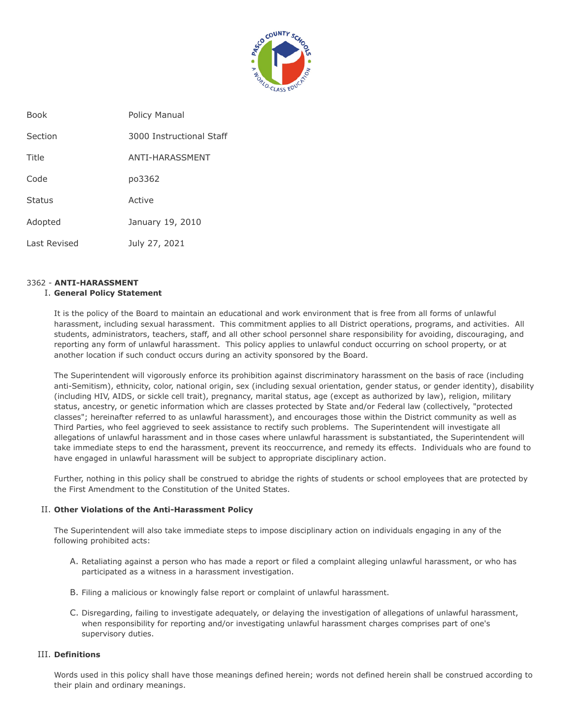

| <b>Book</b>  | Policy Manual            |
|--------------|--------------------------|
| Section      | 3000 Instructional Staff |
| Title        | ANTI-HARASSMENT          |
| Code         | po3362                   |
| Status       | Active                   |
| Adopted      | January 19, 2010         |
| Last Revised | July 27, 2021            |

# 3362 - **ANTI-HARASSMENT**

# I. **General Policy Statement**

It is the policy of the Board to maintain an educational and work environment that is free from all forms of unlawful harassment, including sexual harassment. This commitment applies to all District operations, programs, and activities. All students, administrators, teachers, staff, and all other school personnel share responsibility for avoiding, discouraging, and reporting any form of unlawful harassment. This policy applies to unlawful conduct occurring on school property, or at another location if such conduct occurs during an activity sponsored by the Board.

The Superintendent will vigorously enforce its prohibition against discriminatory harassment on the basis of race (including anti-Semitism), ethnicity, color, national origin, sex (including sexual orientation, gender status, or gender identity), disability (including HIV, AIDS, or sickle cell trait), pregnancy, marital status, age (except as authorized by law), religion, military status, ancestry, or genetic information which are classes protected by State and/or Federal law (collectively, "protected classes"; hereinafter referred to as unlawful harassment), and encourages those within the District community as well as Third Parties, who feel aggrieved to seek assistance to rectify such problems. The Superintendent will investigate all allegations of unlawful harassment and in those cases where unlawful harassment is substantiated, the Superintendent will take immediate steps to end the harassment, prevent its reoccurrence, and remedy its effects. Individuals who are found to have engaged in unlawful harassment will be subject to appropriate disciplinary action.

Further, nothing in this policy shall be construed to abridge the rights of students or school employees that are protected by the First Amendment to the Constitution of the United States.

# II. **Other Violations of the Anti-Harassment Policy**

The Superintendent will also take immediate steps to impose disciplinary action on individuals engaging in any of the following prohibited acts:

- A. Retaliating against a person who has made a report or filed a complaint alleging unlawful harassment, or who has participated as a witness in a harassment investigation.
- B. Filing a malicious or knowingly false report or complaint of unlawful harassment.
- C. Disregarding, failing to investigate adequately, or delaying the investigation of allegations of unlawful harassment, when responsibility for reporting and/or investigating unlawful harassment charges comprises part of one's supervisory duties.

# III. **Definitions**

Words used in this policy shall have those meanings defined herein; words not defined herein shall be construed according to their plain and ordinary meanings.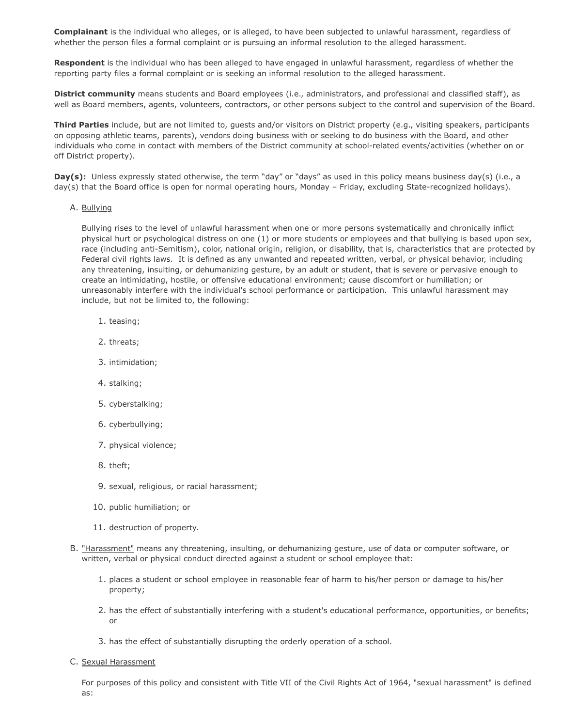**Complainant** is the individual who alleges, or is alleged, to have been subjected to unlawful harassment, regardless of whether the person files a formal complaint or is pursuing an informal resolution to the alleged harassment.

**Respondent** is the individual who has been alleged to have engaged in unlawful harassment, regardless of whether the reporting party files a formal complaint or is seeking an informal resolution to the alleged harassment.

**District community** means students and Board employees (i.e., administrators, and professional and classified staff), as well as Board members, agents, volunteers, contractors, or other persons subject to the control and supervision of the Board.

**Third Parties** include, but are not limited to, guests and/or visitors on District property (e.g., visiting speakers, participants on opposing athletic teams, parents), vendors doing business with or seeking to do business with the Board, and other individuals who come in contact with members of the District community at school-related events/activities (whether on or off District property).

**Day(s):** Unless expressly stated otherwise, the term "day" or "days" as used in this policy means business day(s) (i.e., a day(s) that the Board office is open for normal operating hours, Monday – Friday, excluding State-recognized holidays).

### A. Bullying

Bullying rises to the level of unlawful harassment when one or more persons systematically and chronically inflict physical hurt or psychological distress on one (1) or more students or employees and that bullying is based upon sex, race (including anti-Semitism), color, national origin, religion, or disability, that is, characteristics that are protected by Federal civil rights laws. It is defined as any unwanted and repeated written, verbal, or physical behavior, including any threatening, insulting, or dehumanizing gesture, by an adult or student, that is severe or pervasive enough to create an intimidating, hostile, or offensive educational environment; cause discomfort or humiliation; or unreasonably interfere with the individual's school performance or participation. This unlawful harassment may include, but not be limited to, the following:

- 1. teasing;
- 2. threats;
- 3. intimidation;
- 4. stalking;
- 5. cyberstalking;
- 6. cyberbullying;
- 7. physical violence;
- 8. theft;
- 9. sexual, religious, or racial harassment;
- 10. public humiliation; or
- 11. destruction of property.
- B. "Harassment" means any threatening, insulting, or dehumanizing gesture, use of data or computer software, or written, verbal or physical conduct directed against a student or school employee that:
	- 1. places a student or school employee in reasonable fear of harm to his/her person or damage to his/her property;
	- 2. has the effect of substantially interfering with a student's educational performance, opportunities, or benefits; or
	- 3. has the effect of substantially disrupting the orderly operation of a school.
- C. Sexual Harassment

For purposes of this policy and consistent with Title VII of the Civil Rights Act of 1964, "sexual harassment" is defined as: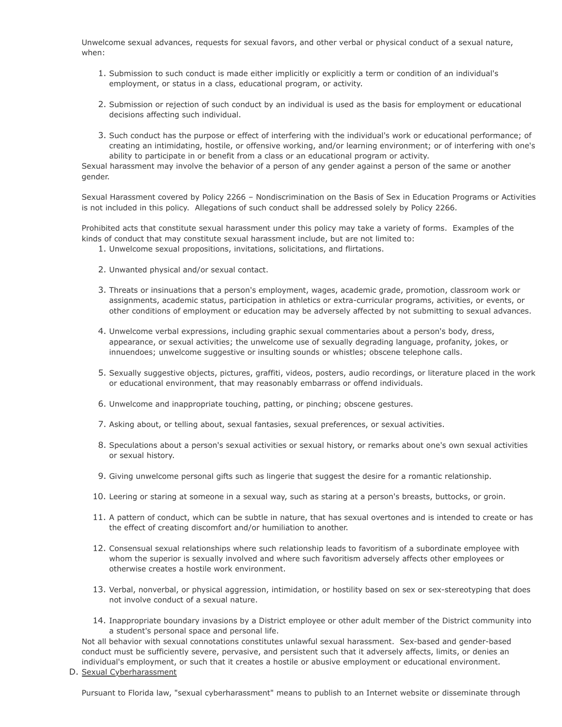Unwelcome sexual advances, requests for sexual favors, and other verbal or physical conduct of a sexual nature, when:

- 1. Submission to such conduct is made either implicitly or explicitly a term or condition of an individual's employment, or status in a class, educational program, or activity.
- 2. Submission or rejection of such conduct by an individual is used as the basis for employment or educational decisions affecting such individual.
- 3. Such conduct has the purpose or effect of interfering with the individual's work or educational performance; of creating an intimidating, hostile, or offensive working, and/or learning environment; or of interfering with one's ability to participate in or benefit from a class or an educational program or activity.

Sexual harassment may involve the behavior of a person of any gender against a person of the same or another gender.

Sexual Harassment covered by Policy 2266 – Nondiscrimination on the Basis of Sex in Education Programs or Activities is not included in this policy. Allegations of such conduct shall be addressed solely by Policy 2266.

Prohibited acts that constitute sexual harassment under this policy may take a variety of forms. Examples of the kinds of conduct that may constitute sexual harassment include, but are not limited to:

- 1. Unwelcome sexual propositions, invitations, solicitations, and flirtations.
- 2. Unwanted physical and/or sexual contact.
- 3. Threats or insinuations that a person's employment, wages, academic grade, promotion, classroom work or assignments, academic status, participation in athletics or extra-curricular programs, activities, or events, or other conditions of employment or education may be adversely affected by not submitting to sexual advances.
- 4. Unwelcome verbal expressions, including graphic sexual commentaries about a person's body, dress, appearance, or sexual activities; the unwelcome use of sexually degrading language, profanity, jokes, or innuendoes; unwelcome suggestive or insulting sounds or whistles; obscene telephone calls.
- 5. Sexually suggestive objects, pictures, graffiti, videos, posters, audio recordings, or literature placed in the work or educational environment, that may reasonably embarrass or offend individuals.
- 6. Unwelcome and inappropriate touching, patting, or pinching; obscene gestures.
- 7. Asking about, or telling about, sexual fantasies, sexual preferences, or sexual activities.
- 8. Speculations about a person's sexual activities or sexual history, or remarks about one's own sexual activities or sexual history.
- 9. Giving unwelcome personal gifts such as lingerie that suggest the desire for a romantic relationship.
- 10. Leering or staring at someone in a sexual way, such as staring at a person's breasts, buttocks, or groin.
- 11. A pattern of conduct, which can be subtle in nature, that has sexual overtones and is intended to create or has the effect of creating discomfort and/or humiliation to another.
- 12. Consensual sexual relationships where such relationship leads to favoritism of a subordinate employee with whom the superior is sexually involved and where such favoritism adversely affects other employees or otherwise creates a hostile work environment.
- 13. Verbal, nonverbal, or physical aggression, intimidation, or hostility based on sex or sex-stereotyping that does not involve conduct of a sexual nature.
- 14. Inappropriate boundary invasions by a District employee or other adult member of the District community into a student's personal space and personal life.

Not all behavior with sexual connotations constitutes unlawful sexual harassment. Sex-based and gender-based conduct must be sufficiently severe, pervasive, and persistent such that it adversely affects, limits, or denies an individual's employment, or such that it creates a hostile or abusive employment or educational environment.

D. Sexual Cyberharassment

Pursuant to Florida law, "sexual cyberharassment" means to publish to an Internet website or disseminate through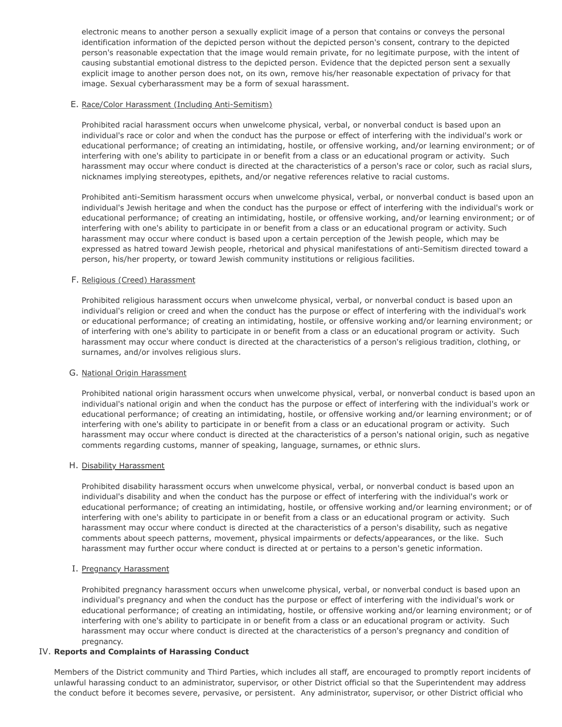electronic means to another person a sexually explicit image of a person that contains or conveys the personal identification information of the depicted person without the depicted person's consent, contrary to the depicted person's reasonable expectation that the image would remain private, for no legitimate purpose, with the intent of causing substantial emotional distress to the depicted person. Evidence that the depicted person sent a sexually explicit image to another person does not, on its own, remove his/her reasonable expectation of privacy for that image. Sexual cyberharassment may be a form of sexual harassment.

# E. Race/Color Harassment (Including Anti-Semitism)

Prohibited racial harassment occurs when unwelcome physical, verbal, or nonverbal conduct is based upon an individual's race or color and when the conduct has the purpose or effect of interfering with the individual's work or educational performance; of creating an intimidating, hostile, or offensive working, and/or learning environment; or of interfering with one's ability to participate in or benefit from a class or an educational program or activity. Such harassment may occur where conduct is directed at the characteristics of a person's race or color, such as racial slurs, nicknames implying stereotypes, epithets, and/or negative references relative to racial customs.

Prohibited anti-Semitism harassment occurs when unwelcome physical, verbal, or nonverbal conduct is based upon an individual's Jewish heritage and when the conduct has the purpose or effect of interfering with the individual's work or educational performance; of creating an intimidating, hostile, or offensive working, and/or learning environment; or of interfering with one's ability to participate in or benefit from a class or an educational program or activity. Such harassment may occur where conduct is based upon a certain perception of the Jewish people, which may be expressed as hatred toward Jewish people, rhetorical and physical manifestations of anti-Semitism directed toward a person, his/her property, or toward Jewish community institutions or religious facilities.

### F. Religious (Creed) Harassment

Prohibited religious harassment occurs when unwelcome physical, verbal, or nonverbal conduct is based upon an individual's religion or creed and when the conduct has the purpose or effect of interfering with the individual's work or educational performance; of creating an intimidating, hostile, or offensive working and/or learning environment; or of interfering with one's ability to participate in or benefit from a class or an educational program or activity. Such harassment may occur where conduct is directed at the characteristics of a person's religious tradition, clothing, or surnames, and/or involves religious slurs.

#### G. National Origin Harassment

Prohibited national origin harassment occurs when unwelcome physical, verbal, or nonverbal conduct is based upon an individual's national origin and when the conduct has the purpose or effect of interfering with the individual's work or educational performance; of creating an intimidating, hostile, or offensive working and/or learning environment; or of interfering with one's ability to participate in or benefit from a class or an educational program or activity. Such harassment may occur where conduct is directed at the characteristics of a person's national origin, such as negative comments regarding customs, manner of speaking, language, surnames, or ethnic slurs.

#### H. Disability Harassment

Prohibited disability harassment occurs when unwelcome physical, verbal, or nonverbal conduct is based upon an individual's disability and when the conduct has the purpose or effect of interfering with the individual's work or educational performance; of creating an intimidating, hostile, or offensive working and/or learning environment; or of interfering with one's ability to participate in or benefit from a class or an educational program or activity. Such harassment may occur where conduct is directed at the characteristics of a person's disability, such as negative comments about speech patterns, movement, physical impairments or defects/appearances, or the like. Such harassment may further occur where conduct is directed at or pertains to a person's genetic information.

#### I. Pregnancy Harassment

Prohibited pregnancy harassment occurs when unwelcome physical, verbal, or nonverbal conduct is based upon an individual's pregnancy and when the conduct has the purpose or effect of interfering with the individual's work or educational performance; of creating an intimidating, hostile, or offensive working and/or learning environment; or of interfering with one's ability to participate in or benefit from a class or an educational program or activity. Such harassment may occur where conduct is directed at the characteristics of a person's pregnancy and condition of pregnancy.

# IV. **Reports and Complaints of Harassing Conduct**

Members of the District community and Third Parties, which includes all staff, are encouraged to promptly report incidents of unlawful harassing conduct to an administrator, supervisor, or other District official so that the Superintendent may address the conduct before it becomes severe, pervasive, or persistent. Any administrator, supervisor, or other District official who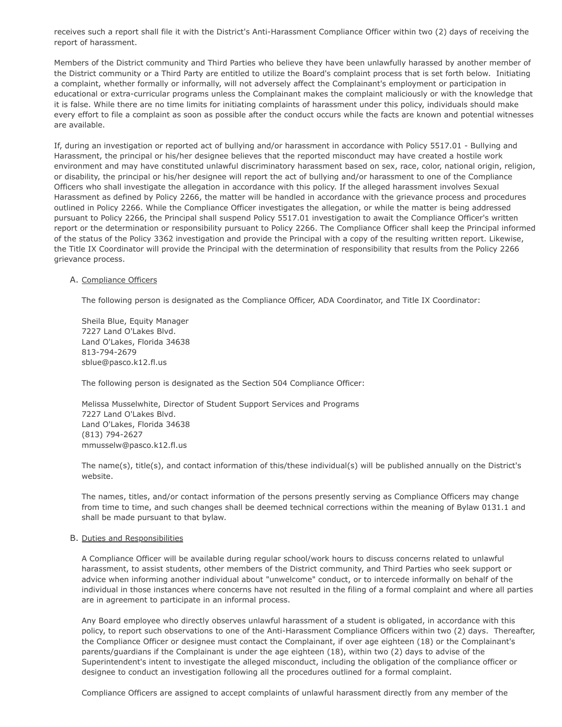receives such a report shall file it with the District's Anti-Harassment Compliance Officer within two (2) days of receiving the report of harassment.

Members of the District community and Third Parties who believe they have been unlawfully harassed by another member of the District community or a Third Party are entitled to utilize the Board's complaint process that is set forth below. Initiating a complaint, whether formally or informally, will not adversely affect the Complainant's employment or participation in educational or extra-curricular programs unless the Complainant makes the complaint maliciously or with the knowledge that it is false. While there are no time limits for initiating complaints of harassment under this policy, individuals should make every effort to file a complaint as soon as possible after the conduct occurs while the facts are known and potential witnesses are available.

If, during an investigation or reported act of bullying and/or harassment in accordance with Policy 5517.01 - Bullying and Harassment, the principal or his/her designee believes that the reported misconduct may have created a hostile work environment and may have constituted unlawful discriminatory harassment based on sex, race, color, national origin, religion, or disability, the principal or his/her designee will report the act of bullying and/or harassment to one of the Compliance Officers who shall investigate the allegation in accordance with this policy. If the alleged harassment involves Sexual Harassment as defined by Policy 2266, the matter will be handled in accordance with the grievance process and procedures outlined in Policy 2266. While the Compliance Officer investigates the allegation, or while the matter is being addressed pursuant to Policy 2266, the Principal shall suspend Policy 5517.01 investigation to await the Compliance Officer's written report or the determination or responsibility pursuant to Policy 2266. The Compliance Officer shall keep the Principal informed of the status of the Policy 3362 investigation and provide the Principal with a copy of the resulting written report. Likewise, the Title IX Coordinator will provide the Principal with the determination of responsibility that results from the Policy 2266 grievance process.

### A. Compliance Officers

The following person is designated as the Compliance Officer, ADA Coordinator, and Title IX Coordinator:

Sheila Blue, Equity Manager 7227 Land O'Lakes Blvd. Land O'Lakes, Florida 34638 813-794-2679 sblue@pasco.k12.fl.us

The following person is designated as the Section 504 Compliance Officer:

Melissa Musselwhite, Director of Student Support Services and Programs 7227 Land O'Lakes Blvd. Land O'Lakes, Florida 34638 (813) 794-2627 mmusselw@pasco.k12.fl.us

The name(s), title(s), and contact information of this/these individual(s) will be published annually on the District's website.

The names, titles, and/or contact information of the persons presently serving as Compliance Officers may change from time to time, and such changes shall be deemed technical corrections within the meaning of Bylaw 0131.1 and shall be made pursuant to that bylaw.

#### B. Duties and Responsibilities

A Compliance Officer will be available during regular school/work hours to discuss concerns related to unlawful harassment, to assist students, other members of the District community, and Third Parties who seek support or advice when informing another individual about "unwelcome" conduct, or to intercede informally on behalf of the individual in those instances where concerns have not resulted in the filing of a formal complaint and where all parties are in agreement to participate in an informal process.

Any Board employee who directly observes unlawful harassment of a student is obligated, in accordance with this policy, to report such observations to one of the Anti-Harassment Compliance Officers within two (2) days. Thereafter, the Compliance Officer or designee must contact the Complainant, if over age eighteen (18) or the Complainant's parents/guardians if the Complainant is under the age eighteen (18), within two (2) days to advise of the Superintendent's intent to investigate the alleged misconduct, including the obligation of the compliance officer or designee to conduct an investigation following all the procedures outlined for a formal complaint.

Compliance Officers are assigned to accept complaints of unlawful harassment directly from any member of the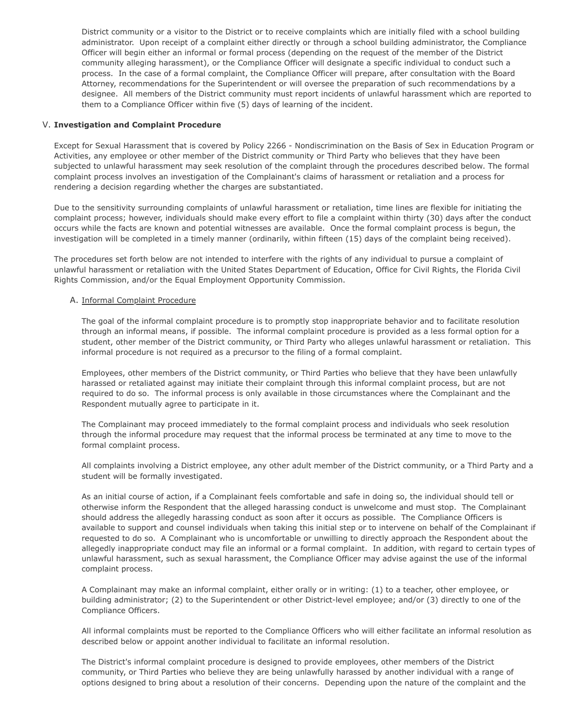District community or a visitor to the District or to receive complaints which are initially filed with a school building administrator. Upon receipt of a complaint either directly or through a school building administrator, the Compliance Officer will begin either an informal or formal process (depending on the request of the member of the District community alleging harassment), or the Compliance Officer will designate a specific individual to conduct such a process. In the case of a formal complaint, the Compliance Officer will prepare, after consultation with the Board Attorney, recommendations for the Superintendent or will oversee the preparation of such recommendations by a designee. All members of the District community must report incidents of unlawful harassment which are reported to them to a Compliance Officer within five (5) days of learning of the incident.

### V. **Investigation and Complaint Procedure**

Except for Sexual Harassment that is covered by Policy 2266 - Nondiscrimination on the Basis of Sex in Education Program or Activities, any employee or other member of the District community or Third Party who believes that they have been subjected to unlawful harassment may seek resolution of the complaint through the procedures described below. The formal complaint process involves an investigation of the Complainant's claims of harassment or retaliation and a process for rendering a decision regarding whether the charges are substantiated.

Due to the sensitivity surrounding complaints of unlawful harassment or retaliation, time lines are flexible for initiating the complaint process; however, individuals should make every effort to file a complaint within thirty (30) days after the conduct occurs while the facts are known and potential witnesses are available. Once the formal complaint process is begun, the investigation will be completed in a timely manner (ordinarily, within fifteen (15) days of the complaint being received).

The procedures set forth below are not intended to interfere with the rights of any individual to pursue a complaint of unlawful harassment or retaliation with the United States Department of Education, Office for Civil Rights, the Florida Civil Rights Commission, and/or the Equal Employment Opportunity Commission.

### A. Informal Complaint Procedure

The goal of the informal complaint procedure is to promptly stop inappropriate behavior and to facilitate resolution through an informal means, if possible. The informal complaint procedure is provided as a less formal option for a student, other member of the District community, or Third Party who alleges unlawful harassment or retaliation. This informal procedure is not required as a precursor to the filing of a formal complaint.

Employees, other members of the District community, or Third Parties who believe that they have been unlawfully harassed or retaliated against may initiate their complaint through this informal complaint process, but are not required to do so. The informal process is only available in those circumstances where the Complainant and the Respondent mutually agree to participate in it.

The Complainant may proceed immediately to the formal complaint process and individuals who seek resolution through the informal procedure may request that the informal process be terminated at any time to move to the formal complaint process.

All complaints involving a District employee, any other adult member of the District community, or a Third Party and a student will be formally investigated.

As an initial course of action, if a Complainant feels comfortable and safe in doing so, the individual should tell or otherwise inform the Respondent that the alleged harassing conduct is unwelcome and must stop. The Complainant should address the allegedly harassing conduct as soon after it occurs as possible. The Compliance Officers is available to support and counsel individuals when taking this initial step or to intervene on behalf of the Complainant if requested to do so. A Complainant who is uncomfortable or unwilling to directly approach the Respondent about the allegedly inappropriate conduct may file an informal or a formal complaint. In addition, with regard to certain types of unlawful harassment, such as sexual harassment, the Compliance Officer may advise against the use of the informal complaint process.

A Complainant may make an informal complaint, either orally or in writing: (1) to a teacher, other employee, or building administrator; (2) to the Superintendent or other District-level employee; and/or (3) directly to one of the Compliance Officers.

All informal complaints must be reported to the Compliance Officers who will either facilitate an informal resolution as described below or appoint another individual to facilitate an informal resolution.

The District's informal complaint procedure is designed to provide employees, other members of the District community, or Third Parties who believe they are being unlawfully harassed by another individual with a range of options designed to bring about a resolution of their concerns. Depending upon the nature of the complaint and the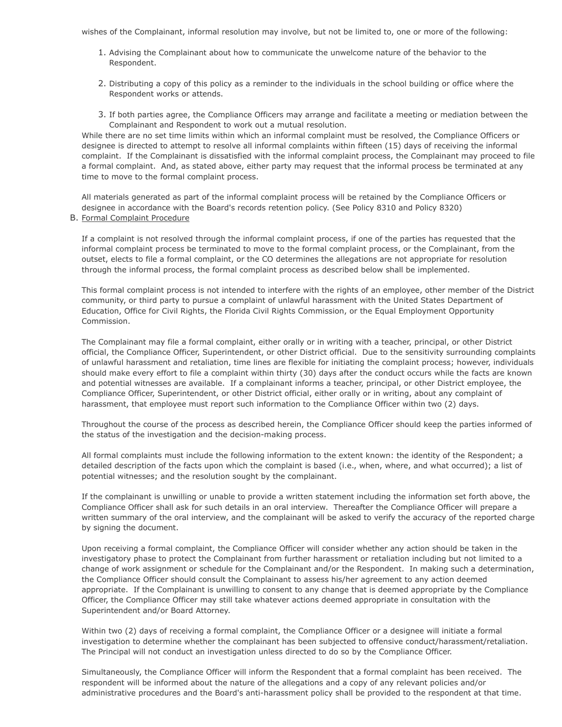wishes of the Complainant, informal resolution may involve, but not be limited to, one or more of the following:

- 1. Advising the Complainant about how to communicate the unwelcome nature of the behavior to the Respondent.
- 2. Distributing a copy of this policy as a reminder to the individuals in the school building or office where the Respondent works or attends.
- 3. If both parties agree, the Compliance Officers may arrange and facilitate a meeting or mediation between the Complainant and Respondent to work out a mutual resolution.

While there are no set time limits within which an informal complaint must be resolved, the Compliance Officers or designee is directed to attempt to resolve all informal complaints within fifteen (15) days of receiving the informal complaint. If the Complainant is dissatisfied with the informal complaint process, the Complainant may proceed to file a formal complaint. And, as stated above, either party may request that the informal process be terminated at any time to move to the formal complaint process.

All materials generated as part of the informal complaint process will be retained by the Compliance Officers or designee in accordance with the Board's records retention policy. (See Policy 8310 and Policy 8320) B. Formal Complaint Procedure

If a complaint is not resolved through the informal complaint process, if one of the parties has requested that the informal complaint process be terminated to move to the formal complaint process, or the Complainant, from the outset, elects to file a formal complaint, or the CO determines the allegations are not appropriate for resolution through the informal process, the formal complaint process as described below shall be implemented.

This formal complaint process is not intended to interfere with the rights of an employee, other member of the District community, or third party to pursue a complaint of unlawful harassment with the United States Department of Education, Office for Civil Rights, the Florida Civil Rights Commission, or the Equal Employment Opportunity Commission.

The Complainant may file a formal complaint, either orally or in writing with a teacher, principal, or other District official, the Compliance Officer, Superintendent, or other District official. Due to the sensitivity surrounding complaints of unlawful harassment and retaliation, time lines are flexible for initiating the complaint process; however, individuals should make every effort to file a complaint within thirty (30) days after the conduct occurs while the facts are known and potential witnesses are available. If a complainant informs a teacher, principal, or other District employee, the Compliance Officer, Superintendent, or other District official, either orally or in writing, about any complaint of harassment, that employee must report such information to the Compliance Officer within two (2) days.

Throughout the course of the process as described herein, the Compliance Officer should keep the parties informed of the status of the investigation and the decision-making process.

All formal complaints must include the following information to the extent known: the identity of the Respondent; a detailed description of the facts upon which the complaint is based (i.e., when, where, and what occurred); a list of potential witnesses; and the resolution sought by the complainant.

If the complainant is unwilling or unable to provide a written statement including the information set forth above, the Compliance Officer shall ask for such details in an oral interview. Thereafter the Compliance Officer will prepare a written summary of the oral interview, and the complainant will be asked to verify the accuracy of the reported charge by signing the document.

Upon receiving a formal complaint, the Compliance Officer will consider whether any action should be taken in the investigatory phase to protect the Complainant from further harassment or retaliation including but not limited to a change of work assignment or schedule for the Complainant and/or the Respondent. In making such a determination, the Compliance Officer should consult the Complainant to assess his/her agreement to any action deemed appropriate. If the Complainant is unwilling to consent to any change that is deemed appropriate by the Compliance Officer, the Compliance Officer may still take whatever actions deemed appropriate in consultation with the Superintendent and/or Board Attorney.

Within two (2) days of receiving a formal complaint, the Compliance Officer or a designee will initiate a formal investigation to determine whether the complainant has been subjected to offensive conduct/harassment/retaliation. The Principal will not conduct an investigation unless directed to do so by the Compliance Officer.

Simultaneously, the Compliance Officer will inform the Respondent that a formal complaint has been received. The respondent will be informed about the nature of the allegations and a copy of any relevant policies and/or administrative procedures and the Board's anti-harassment policy shall be provided to the respondent at that time.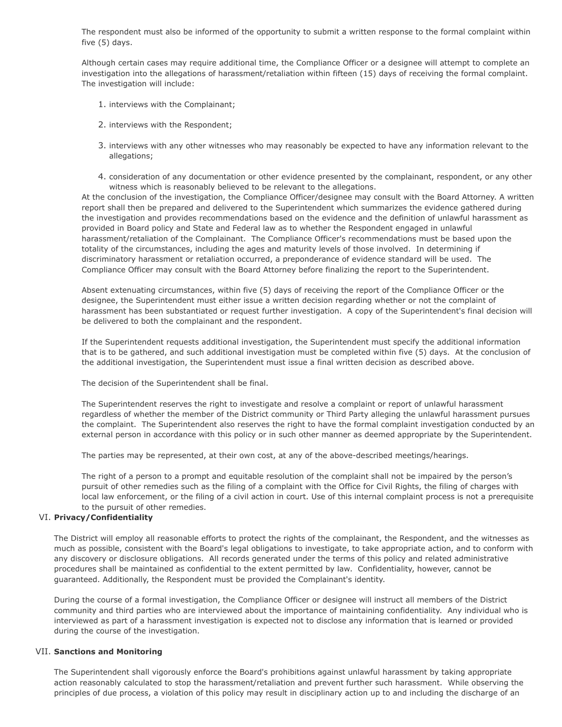The respondent must also be informed of the opportunity to submit a written response to the formal complaint within five (5) days.

Although certain cases may require additional time, the Compliance Officer or a designee will attempt to complete an investigation into the allegations of harassment/retaliation within fifteen (15) days of receiving the formal complaint. The investigation will include:

- 1. interviews with the Complainant;
- 2. interviews with the Respondent;
- 3. interviews with any other witnesses who may reasonably be expected to have any information relevant to the allegations;
- 4. consideration of any documentation or other evidence presented by the complainant, respondent, or any other witness which is reasonably believed to be relevant to the allegations.

At the conclusion of the investigation, the Compliance Officer/designee may consult with the Board Attorney. A written report shall then be prepared and delivered to the Superintendent which summarizes the evidence gathered during the investigation and provides recommendations based on the evidence and the definition of unlawful harassment as provided in Board policy and State and Federal law as to whether the Respondent engaged in unlawful harassment/retaliation of the Complainant. The Compliance Officer's recommendations must be based upon the totality of the circumstances, including the ages and maturity levels of those involved. In determining if discriminatory harassment or retaliation occurred, a preponderance of evidence standard will be used. The Compliance Officer may consult with the Board Attorney before finalizing the report to the Superintendent.

Absent extenuating circumstances, within five (5) days of receiving the report of the Compliance Officer or the designee, the Superintendent must either issue a written decision regarding whether or not the complaint of harassment has been substantiated or request further investigation. A copy of the Superintendent's final decision will be delivered to both the complainant and the respondent.

If the Superintendent requests additional investigation, the Superintendent must specify the additional information that is to be gathered, and such additional investigation must be completed within five (5) days. At the conclusion of the additional investigation, the Superintendent must issue a final written decision as described above.

The decision of the Superintendent shall be final.

The Superintendent reserves the right to investigate and resolve a complaint or report of unlawful harassment regardless of whether the member of the District community or Third Party alleging the unlawful harassment pursues the complaint. The Superintendent also reserves the right to have the formal complaint investigation conducted by an external person in accordance with this policy or in such other manner as deemed appropriate by the Superintendent.

The parties may be represented, at their own cost, at any of the above-described meetings/hearings.

The right of a person to a prompt and equitable resolution of the complaint shall not be impaired by the person's pursuit of other remedies such as the filing of a complaint with the Office for Civil Rights, the filing of charges with local law enforcement, or the filing of a civil action in court. Use of this internal complaint process is not a prerequisite to the pursuit of other remedies.

# VI. **Privacy/Confidentiality**

The District will employ all reasonable efforts to protect the rights of the complainant, the Respondent, and the witnesses as much as possible, consistent with the Board's legal obligations to investigate, to take appropriate action, and to conform with any discovery or disclosure obligations. All records generated under the terms of this policy and related administrative procedures shall be maintained as confidential to the extent permitted by law. Confidentiality, however, cannot be guaranteed. Additionally, the Respondent must be provided the Complainant's identity.

During the course of a formal investigation, the Compliance Officer or designee will instruct all members of the District community and third parties who are interviewed about the importance of maintaining confidentiality. Any individual who is interviewed as part of a harassment investigation is expected not to disclose any information that is learned or provided during the course of the investigation.

# VII. **Sanctions and Monitoring**

The Superintendent shall vigorously enforce the Board's prohibitions against unlawful harassment by taking appropriate action reasonably calculated to stop the harassment/retaliation and prevent further such harassment. While observing the principles of due process, a violation of this policy may result in disciplinary action up to and including the discharge of an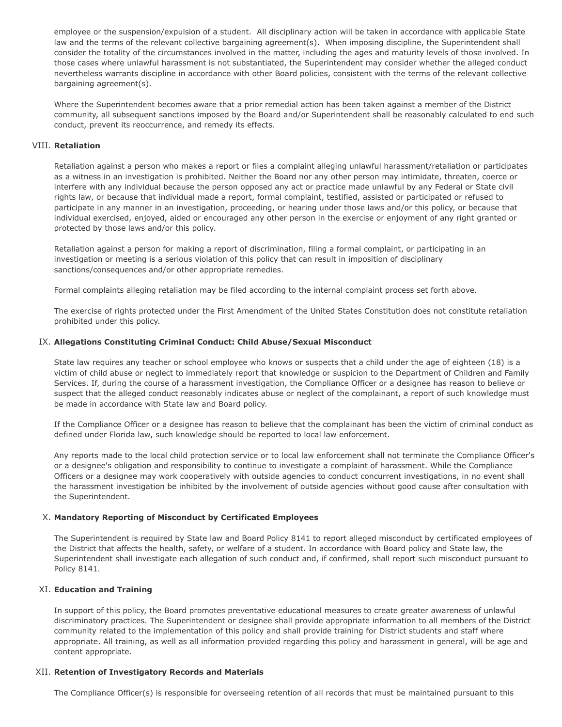employee or the suspension/expulsion of a student. All disciplinary action will be taken in accordance with applicable State law and the terms of the relevant collective bargaining agreement(s). When imposing discipline, the Superintendent shall consider the totality of the circumstances involved in the matter, including the ages and maturity levels of those involved. In those cases where unlawful harassment is not substantiated, the Superintendent may consider whether the alleged conduct nevertheless warrants discipline in accordance with other Board policies, consistent with the terms of the relevant collective bargaining agreement(s).

Where the Superintendent becomes aware that a prior remedial action has been taken against a member of the District community, all subsequent sanctions imposed by the Board and/or Superintendent shall be reasonably calculated to end such conduct, prevent its reoccurrence, and remedy its effects.

# VIII. **Retaliation**

Retaliation against a person who makes a report or files a complaint alleging unlawful harassment/retaliation or participates as a witness in an investigation is prohibited. Neither the Board nor any other person may intimidate, threaten, coerce or interfere with any individual because the person opposed any act or practice made unlawful by any Federal or State civil rights law, or because that individual made a report, formal complaint, testified, assisted or participated or refused to participate in any manner in an investigation, proceeding, or hearing under those laws and/or this policy, or because that individual exercised, enjoyed, aided or encouraged any other person in the exercise or enjoyment of any right granted or protected by those laws and/or this policy.

Retaliation against a person for making a report of discrimination, filing a formal complaint, or participating in an investigation or meeting is a serious violation of this policy that can result in imposition of disciplinary sanctions/consequences and/or other appropriate remedies.

Formal complaints alleging retaliation may be filed according to the internal complaint process set forth above.

The exercise of rights protected under the First Amendment of the United States Constitution does not constitute retaliation prohibited under this policy.

### IX. **Allegations Constituting Criminal Conduct: Child Abuse/Sexual Misconduct**

State law requires any teacher or school employee who knows or suspects that a child under the age of eighteen (18) is a victim of child abuse or neglect to immediately report that knowledge or suspicion to the Department of Children and Family Services. If, during the course of a harassment investigation, the Compliance Officer or a designee has reason to believe or suspect that the alleged conduct reasonably indicates abuse or neglect of the complainant, a report of such knowledge must be made in accordance with State law and Board policy.

If the Compliance Officer or a designee has reason to believe that the complainant has been the victim of criminal conduct as defined under Florida law, such knowledge should be reported to local law enforcement.

Any reports made to the local child protection service or to local law enforcement shall not terminate the Compliance Officer's or a designee's obligation and responsibility to continue to investigate a complaint of harassment. While the Compliance Officers or a designee may work cooperatively with outside agencies to conduct concurrent investigations, in no event shall the harassment investigation be inhibited by the involvement of outside agencies without good cause after consultation with the Superintendent.

# X. **Mandatory Reporting of Misconduct by Certificated Employees**

The Superintendent is required by State law and Board Policy 8141 to report alleged misconduct by certificated employees of the District that affects the health, safety, or welfare of a student. In accordance with Board policy and State law, the Superintendent shall investigate each allegation of such conduct and, if confirmed, shall report such misconduct pursuant to Policy 8141.

#### XI. **Education and Training**

In support of this policy, the Board promotes preventative educational measures to create greater awareness of unlawful discriminatory practices. The Superintendent or designee shall provide appropriate information to all members of the District community related to the implementation of this policy and shall provide training for District students and staff where appropriate. All training, as well as all information provided regarding this policy and harassment in general, will be age and content appropriate.

#### XII. **Retention of Investigatory Records and Materials**

The Compliance Officer(s) is responsible for overseeing retention of all records that must be maintained pursuant to this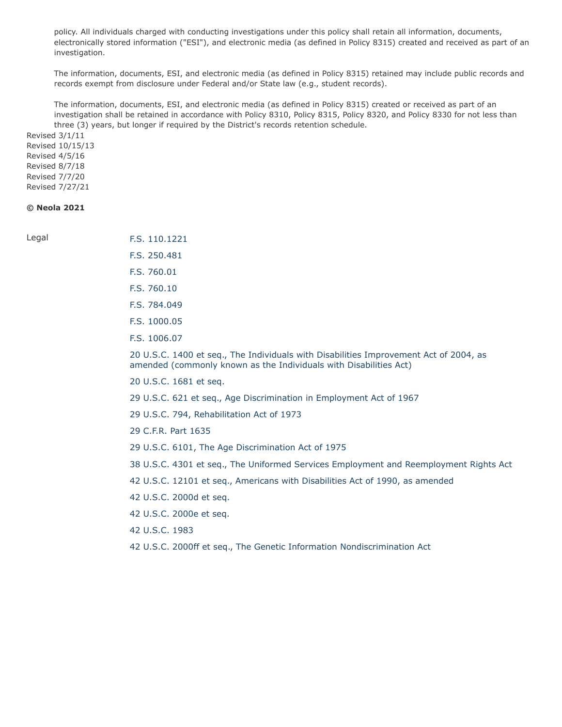policy. All individuals charged with conducting investigations under this policy shall retain all information, documents, electronically stored information ("ESI"), and electronic media (as defined in Policy 8315) created and received as part of an investigation.

The information, documents, ESI, and electronic media (as defined in Policy 8315) retained may include public records and records exempt from disclosure under Federal and/or State law (e.g., student records).

The information, documents, ESI, and electronic media (as defined in Policy 8315) created or received as part of an investigation shall be retained in accordance with Policy 8310, Policy 8315, Policy 8320, and Policy 8330 for not less than three (3) years, but longer if required by the District's records retention schedule.

Revised 3/1/11 Revised 10/15/13 Revised 4/5/16 Revised 8/7/18 Revised 7/7/20 Revised 7/27/21

# **© Neola 2021**

Legal **[F.S. 110.1221](http://www.leg.state.fl.us/STATUTES/index.cfm?App_mode=Display_Statute&Search_String=&URL=0100-0199/0110/Sections/0110.1221.html)** [F.S. 250.481](http://www.leg.state.fl.us/STATUTES/index.cfm?App_mode=Display_Statute&Search_String=&URL=0200-0299/0250/Sections/0250.481.html) [F.S. 760.01](http://www.leg.state.fl.us/STATUTES/index.cfm?App_mode=Display_Statute&Search_String=&URL=0700-0799/0760/Sections/0760.01.html) [F.S. 760.10](http://www.leg.state.fl.us/STATUTES/index.cfm?App_mode=Display_Statute&Search_String=&URL=0700-0799/0760/Sections/0760.10.html) [F.S. 784.049](http://www.leg.state.fl.us/STATUTES/index.cfm?App_mode=Display_Statute&Search_String=&URL=0700-0799/0784/Sections/0784.049.html) [F.S. 1000.05](http://www.leg.state.fl.us/STATUTES/index.cfm?App_mode=Display_Statute&Search_String=&URL=1000-1099/1000/Sections/1000.05.html) [F.S. 1006.07](http://www.leg.state.fl.us/STATUTES/index.cfm?App_mode=Display_Statute&Search_String=&URL=1000-1099/1006/Sections/1006.07.html) [20 U.S.C. 1400 et seq., The Individuals with Disabilities Improvement Act of 2004, as](http://uscode.house.gov/view.xhtml?req=(title:20%20section:1400%20edition:prelim)%20OR%20(granuleid:USC-prelim-title20-section1400)&f=treesort&edition=prelim&num=0&jumpTo=true) amended (commonly known as the Individuals with Disabilities Act) 20 [U.S.C.](http://uscode.house.gov/view.xhtml?req=(title:20%20section:1681%20edition:prelim)%20OR%20(granuleid:USC-prelim-title20-section1681)&f=treesort&edition=prelim&num=0&jumpTo=true) 1681 et seq. 29 U.S.C. 621 et [seq., Age Discrimination in Employment Act of 1967](http://uscode.house.gov/view.xhtml?req=(title:29%20section:621%20edition:prelim)%20OR%20(granuleid:USC-prelim-title29-section621)&f=treesort&edition=prelim&num=0&jumpTo=true) 29 U.S.C. [794, Rehabilitation Act of 1973](http://uscode.house.gov/view.xhtml?req=(title:29%20section:794%20edition:prelim)%20OR%20(granuleid:USC-prelim-title29-section794)&f=treesort&edition=prelim&num=0&jumpTo=true) [29 C.F.R. Part 1635](http://www.ecfr.gov/cgi-bin/text-idx?SID=ce9cac5d50e5ddb9f7ac8d975762770d&mc=true&node=pt29.4.1635&rgn=div5) [29 U.S.C. 6101, The Age Discrimination Act of 1975](https://www.dol.gov/oasam/regs/statutes/age_act.htm)

[38 U.S.C. 4301 et seq., The Uniformed Services Employment and Reemployment Rights Act](http://uscode.house.gov/view.xhtml?req=(title:38%20section:4301%20edition:prelim)%20OR%20(granuleid:USC-prelim-title38-section4301)&f=treesort&edition=prelim&num=0&jumpTo=true)

42 U.S.C. 12101 et [seq., Americans with Disabilities Act of 1990, as amended](http://uscode.house.gov/view.xhtml?req=(title:42%20section:12101%20edition:prelim)%20OR%20(granuleid:USC-prelim-title42-section12101)&f=treesort&edition=prelim&num=0&jumpTo=true)

- 42 [U.S.C.](http://uscode.house.gov/view.xhtml?req=(title:42%20section:2000d%20edition:prelim)%20OR%20(granuleid:USC-prelim-title42-section2000d)&f=treesort&edition=prelim&num=0&jumpTo=true) 2000d et seq.
- 42 [U.S.C.](http://uscode.house.gov/view.xhtml?req=(title:42%20section:2000e%20edition:prelim)%20OR%20(granuleid:USC-prelim-title42-section2000e)&f=treesort&edition=prelim&num=0&jumpTo=true) 2000e et seq.
- 42 [U.S.C.](http://uscode.house.gov/view.xhtml?req=(title:42%20section:1983%20edition:prelim)%20OR%20(granuleid:USC-prelim-title42-section1983)&f=treesort&edition=prelim&num=0&jumpTo=true) 1983
- [42 U.S.C. 2000ff et seq., The Genetic Information Nondiscrimination Act](http://uscode.house.gov/view.xhtml?req=(title:42%20section:2000ff%20edition:prelim)%20OR%20(granuleid:USC-prelim-title42-section2000ff)&f=treesort&edition=prelim&num=0&jumpTo=true)